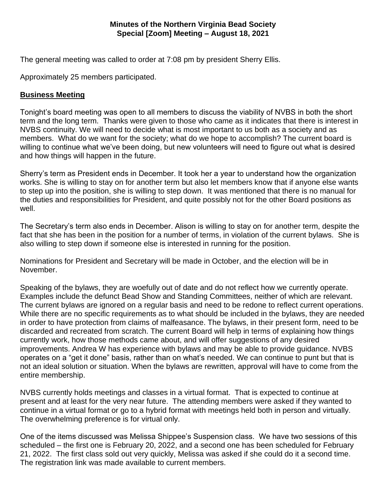## **Minutes of the Northern Virginia Bead Society Special [Zoom] Meeting – August 18, 2021**

The general meeting was called to order at 7:08 pm by president Sherry Ellis.

Approximately 25 members participated.

## **Business Meeting**

Tonight's board meeting was open to all members to discuss the viability of NVBS in both the short term and the long term. Thanks were given to those who came as it indicates that there is interest in NVBS continuity. We will need to decide what is most important to us both as a society and as members. What do we want for the society; what do we hope to accomplish? The current board is willing to continue what we've been doing, but new volunteers will need to figure out what is desired and how things will happen in the future.

Sherry's term as President ends in December. It took her a year to understand how the organization works. She is willing to stay on for another term but also let members know that if anyone else wants to step up into the position, she is willing to step down. It was mentioned that there is no manual for the duties and responsibilities for President, and quite possibly not for the other Board positions as well.

The Secretary's term also ends in December. Alison is willing to stay on for another term, despite the fact that she has been in the position for a number of terms, in violation of the current bylaws. She is also willing to step down if someone else is interested in running for the position.

Nominations for President and Secretary will be made in October, and the election will be in November.

Speaking of the bylaws, they are woefully out of date and do not reflect how we currently operate. Examples include the defunct Bead Show and Standing Committees, neither of which are relevant. The current bylaws are ignored on a regular basis and need to be redone to reflect current operations. While there are no specific requirements as to what should be included in the bylaws, they are needed in order to have protection from claims of malfeasance. The bylaws, in their present form, need to be discarded and recreated from scratch. The current Board will help in terms of explaining how things currently work, how those methods came about, and will offer suggestions of any desired improvements. Andrea W has experience with bylaws and may be able to provide guidance. NVBS operates on a "get it done" basis, rather than on what's needed. We can continue to punt but that is not an ideal solution or situation. When the bylaws are rewritten, approval will have to come from the entire membership.

NVBS currently holds meetings and classes in a virtual format. That is expected to continue at present and at least for the very near future. The attending members were asked if they wanted to continue in a virtual format or go to a hybrid format with meetings held both in person and virtually. The overwhelming preference is for virtual only.

One of the items discussed was Melissa Shippee's Suspension class. We have two sessions of this scheduled – the first one is February 20, 2022, and a second one has been scheduled for February 21, 2022. The first class sold out very quickly, Melissa was asked if she could do it a second time. The registration link was made available to current members.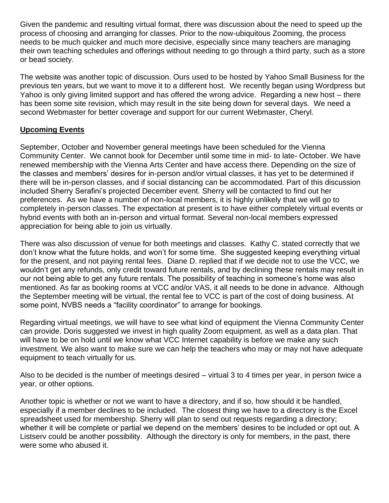Given the pandemic and resulting virtual format, there was discussion about the need to speed up the process of choosing and arranging for classes. Prior to the now-ubiquitous Zooming, the process needs to be much quicker and much more decisive, especially since many teachers are managing their own teaching schedules and offerings without needing to go through a third party, such as a store or bead society.

The website was another topic of discussion. Ours used to be hosted by Yahoo Small Business for the previous ten years, but we want to move it to a different host. We recently began using Wordpress but Yahoo is only giving limited support and has offered the wrong advice. Regarding a new host – there has been some site revision, which may result in the site being down for several days. We need a second Webmaster for better coverage and support for our current Webmaster, Cheryl.

## **Upcoming Events**

September, October and November general meetings have been scheduled for the Vienna Community Center. We cannot book for December until some time in mid- to late- October. We have renewed membership with the Vienna Arts Center and have access there. Depending on the size of the classes and members' desires for in-person and/or virtual classes, it has yet to be determined if there will be in-person classes, and if social distancing can be accommodated. Part of this discussion included Sherry Serafini's projected December event. Sherry will be contacted to find out her preferences. As we have a number of non-local members, it is highly unlikely that we will go to completely in-person classes. The expectation at present is to have either completely virtual events or hybrid events with both an in-person and virtual format. Several non-local members expressed appreciation for being able to join us virtually.

There was also discussion of venue for both meetings and classes. Kathy C. stated correctly that we don't know what the future holds, and won't for some time. She suggested keeping everything virtual for the present, and not paying rental fees. Diane D. replied that if we decide not to use the VCC, we wouldn't get any refunds, only credit toward future rentals, and by declining these rentals may result in our not being able to get any future rentals. The possibility of teaching in someone's home was also mentioned. As far as booking rooms at VCC and/or VAS, it all needs to be done in advance. Although the September meeting will be virtual, the rental fee to VCC is part of the cost of doing business. At some point, NVBS needs a "facility coordinator" to arrange for bookings.

Regarding virtual meetings, we will have to see what kind of equipment the Vienna Community Center can provide. Doris suggested we invest in high quality Zoom equipment, as well as a data plan. That will have to be on hold until we know what VCC Internet capability is before we make any such investment. We also want to make sure we can help the teachers who may or may not have adequate equipment to teach virtually for us.

Also to be decided is the number of meetings desired – virtual 3 to 4 times per year, in person twice a year, or other options.

Another topic is whether or not we want to have a directory, and if so, how should it be handled, especially if a member declines to be included. The closest thing we have to a directory is the Excel spreadsheet used for membership. Sherry will plan to send out requests regarding a directory; whether it will be complete or partial we depend on the members' desires to be included or opt out. A Listserv could be another possibility. Although the directory is only for members, in the past, there were some who abused it.